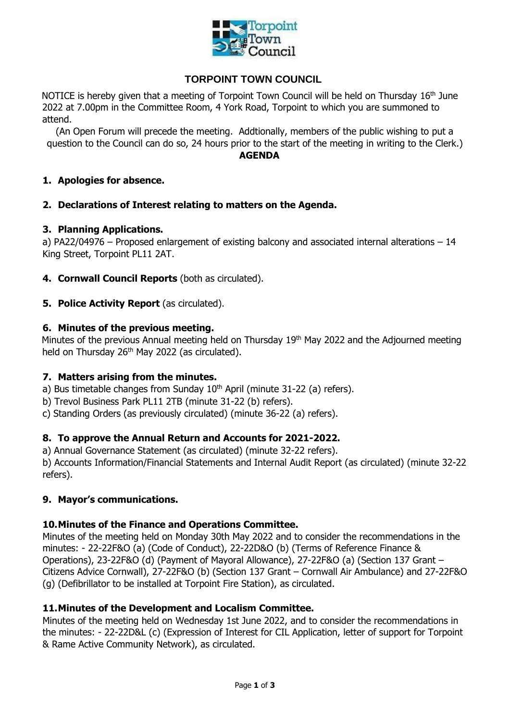

# **TORPOINT TOWN COUNCIL**

NOTICE is hereby given that a meeting of Torpoint Town Council will be held on Thursday  $16<sup>th</sup>$  June 2022 at 7.00pm in the Committee Room, 4 York Road, Torpoint to which you are summoned to attend.

(An Open Forum will precede the meeting. Addtionally, members of the public wishing to put a question to the Council can do so, 24 hours prior to the start of the meeting in writing to the Clerk.)

#### **AGENDA**

## **1. Apologies for absence.**

**2. Declarations of Interest relating to matters on the Agenda.**

#### **3. Planning Applications.**

a) PA22/04976 – Proposed enlargement of existing balcony and associated internal alterations – 14 King Street, Torpoint PL11 2AT.

- **4. Cornwall Council Reports** (both as circulated).
- **5. Police Activity Report** (as circulated).

#### **6. Minutes of the previous meeting.**

Minutes of the previous Annual meeting held on Thursday 19<sup>th</sup> May 2022 and the Adjourned meeting held on Thursday 26<sup>th</sup> May 2022 (as circulated).

## **7. Matters arising from the minutes.**

- a) Bus timetable changes from Sunday  $10<sup>th</sup>$  April (minute 31-22 (a) refers).
- b) Trevol Business Park PL11 2TB (minute 31-22 (b) refers).
- c) Standing Orders (as previously circulated) (minute 36-22 (a) refers).

## **8. To approve the Annual Return and Accounts for 2021-2022.**

a) Annual Governance Statement (as circulated) (minute 32-22 refers).

b) Accounts Information/Financial Statements and Internal Audit Report (as circulated) (minute 32-22 refers).

#### **9. Mayor's communications.**

#### **10.Minutes of the Finance and Operations Committee.**

Minutes of the meeting held on Monday 30th May 2022 and to consider the recommendations in the minutes: - 22-22F&O (a) (Code of Conduct), 22-22D&O (b) (Terms of Reference Finance & Operations), 23-22F&O (d) (Payment of Mayoral Allowance), 27-22F&O (a) (Section 137 Grant – Citizens Advice Cornwall), 27-22F&O (b) (Section 137 Grant – Cornwall Air Ambulance) and 27-22F&O (g) (Defibrillator to be installed at Torpoint Fire Station), as circulated.

## **11.Minutes of the Development and Localism Committee.**

Minutes of the meeting held on Wednesday 1st June 2022, and to consider the recommendations in the minutes: - 22-22D&L (c) (Expression of Interest for CIL Application, letter of support for Torpoint & Rame Active Community Network), as circulated.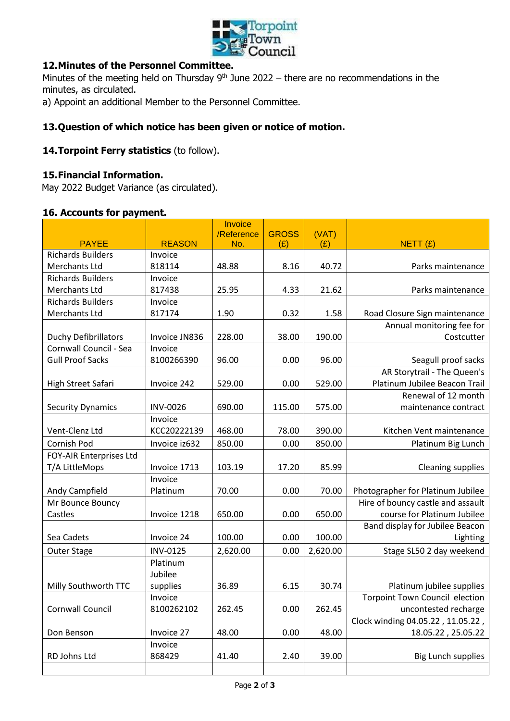

# **12.Minutes of the Personnel Committee.**

Minutes of the meeting held on Thursday  $9<sup>th</sup>$  June 2022 – there are no recommendations in the minutes, as circulated.

a) Appoint an additional Member to the Personnel Committee.

# **13.Question of which notice has been given or notice of motion.**

## 14. Torpoint Ferry statistics (to follow).

#### **15.Financial Information.**

May 2022 Budget Variance (as circulated).

#### **16. Accounts for payment.**

|                             |                 | Invoice<br>/Reference | <b>GROSS</b> | (VAT)    |                                   |
|-----------------------------|-----------------|-----------------------|--------------|----------|-----------------------------------|
| <b>PAYEE</b>                | <b>REASON</b>   | No.                   | (E)          | (E)      | NETT(f)                           |
| <b>Richards Builders</b>    | Invoice         |                       |              |          |                                   |
| Merchants Ltd               | 818114          | 48.88                 | 8.16         | 40.72    | Parks maintenance                 |
| <b>Richards Builders</b>    | Invoice         |                       |              |          |                                   |
| Merchants Ltd               | 817438          | 25.95                 | 4.33         | 21.62    | Parks maintenance                 |
| <b>Richards Builders</b>    | Invoice         |                       |              |          |                                   |
| Merchants Ltd               | 817174          | 1.90                  | 0.32         | 1.58     | Road Closure Sign maintenance     |
|                             |                 |                       |              |          | Annual monitoring fee for         |
| <b>Duchy Defibrillators</b> | Invoice JN836   | 228.00                | 38.00        | 190.00   | Costcutter                        |
| Cornwall Council - Sea      | Invoice         |                       |              |          |                                   |
| <b>Gull Proof Sacks</b>     | 8100266390      | 96.00                 | 0.00         | 96.00    | Seagull proof sacks               |
|                             |                 |                       |              |          | AR Storytrail - The Queen's       |
| High Street Safari          | Invoice 242     | 529.00                | 0.00         | 529.00   | Platinum Jubilee Beacon Trail     |
|                             |                 |                       |              |          | Renewal of 12 month               |
| <b>Security Dynamics</b>    | <b>INV-0026</b> | 690.00                | 115.00       | 575.00   | maintenance contract              |
|                             | Invoice         |                       |              |          |                                   |
| Vent-Clenz Ltd              | KCC20222139     | 468.00                | 78.00        | 390.00   | Kitchen Vent maintenance          |
| Cornish Pod                 | Invoice iz632   | 850.00                | 0.00         | 850.00   | Platinum Big Lunch                |
| FOY-AIR Enterprises Ltd     |                 |                       |              |          |                                   |
| T/A LittleMops              | Invoice 1713    | 103.19                | 17.20        | 85.99    | <b>Cleaning supplies</b>          |
|                             | Invoice         |                       |              |          |                                   |
| Andy Campfield              | Platinum        | 70.00                 | 0.00         | 70.00    | Photographer for Platinum Jubilee |
| Mr Bounce Bouncy            |                 |                       |              |          | Hire of bouncy castle and assault |
| Castles                     | Invoice 1218    | 650.00                | 0.00         | 650.00   | course for Platinum Jubilee       |
|                             |                 |                       |              |          | Band display for Jubilee Beacon   |
| Sea Cadets                  | Invoice 24      | 100.00                | 0.00         | 100.00   | Lighting                          |
| Outer Stage                 | <b>INV-0125</b> | 2,620.00              | 0.00         | 2,620.00 | Stage SL50 2 day weekend          |
|                             | Platinum        |                       |              |          |                                   |
|                             | Jubilee         |                       |              |          |                                   |
| Milly Southworth TTC        | supplies        | 36.89                 | 6.15         | 30.74    | Platinum jubilee supplies         |
|                             | Invoice         |                       |              |          | Torpoint Town Council election    |
| Cornwall Council            | 8100262102      | 262.45                | 0.00         | 262.45   | uncontested recharge              |
|                             |                 |                       |              |          | Clock winding 04.05.22, 11.05.22, |
| Don Benson                  | Invoice 27      | 48.00                 | 0.00         | 48.00    | 18.05.22, 25.05.22                |
|                             | Invoice         |                       |              |          |                                   |
| RD Johns Ltd                | 868429          | 41.40                 | 2.40         | 39.00    | <b>Big Lunch supplies</b>         |
|                             |                 |                       |              |          |                                   |